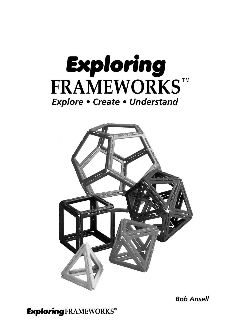



**Bob Ansell**

**Exploring FRAMEWORKS™**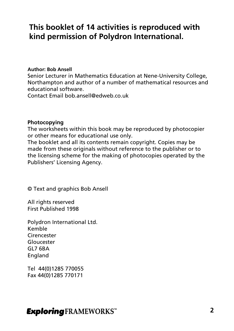### **This booklet of 14 activities is reproduced with kind permission of Polydron International.**

#### **Author: Bob Ansell**

Senior Lecturer in Mathematics Education at Nene-University College, Northampton and author of a number of mathematical resources and educational software.

Contact Email bob.ansell@edweb.co.uk

#### **Photocopying**

The worksheets within this book may be reproduced by photocopier or other means for educational use only.

The booklet and all its contents remain copyright. Copies may be made from these originals without reference to the publisher or to the licensing scheme for the making of photocopies operated by the Publishers' Licensing Agency.

© Text and graphics Bob Ansell

All rights reserved First Published 1998

Polydron International Ltd. Kemble **Cirencester** Gloucester GL7 6BA England

Tel 44(0)1285 770055 Fax 44(0)1285 770171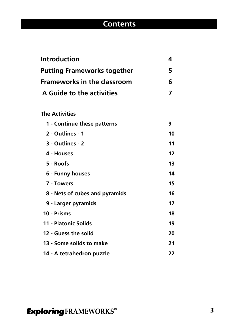# **Contents**

| <b>Introduction</b>                |    |  |
|------------------------------------|----|--|
| <b>Putting Frameworks together</b> |    |  |
| <b>Frameworks in the classroom</b> |    |  |
| A Guide to the activities          |    |  |
| <b>The Activities</b>              |    |  |
| 1 - Continue these patterns        | 9  |  |
| 2 - Outlines - 1                   | 10 |  |
| 3 - Outlines - 2                   | 11 |  |
| 4 - Houses                         | 12 |  |
| 5 - Roofs                          | 13 |  |
| 6 - Funny houses                   | 14 |  |
| 7 - Towers                         | 15 |  |
| 8 - Nets of cubes and pyramids     | 16 |  |
| 9 - Larger pyramids                | 17 |  |
| 10 - Prisms                        | 18 |  |
| 11 - Platonic Solids               | 19 |  |
| 12 - Guess the solid               | 20 |  |
| 13 - Some solids to make           | 21 |  |
| 14 - A tetrahedron puzzle          | 22 |  |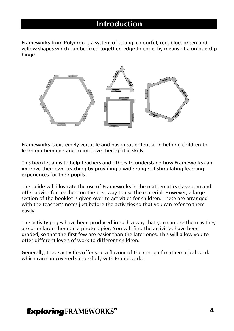### **Introduction**

Frameworks from Polydron is a system of strong, colourful, red, blue, green and yellow shapes which can be fixed together, edge to edge, by means of a unique clip hinge.



Frameworks is extremely versatile and has great potential in helping children to learn mathematics and to improve their spatial skills.

This booklet aims to help teachers and others to understand how Frameworks can improve their own teaching by providing a wide range of stimulating learning experiences for their pupils.

The guide will illustrate the use of Frameworks in the mathematics classroom and offer advice for teachers on the best way to use the material. However, a large section of the booklet is given over to activities for children. These are arranged with the teacher's notes just before the activities so that you can refer to them easily.

The activity pages have been produced in such a way that you can use them as they are or enlarge them on a photocopier. You will find the activities have been graded, so that the first few are easier than the later ones. This will allow you to offer different levels of work to different children.

Generally, these activities offer you a flavour of the range of mathematical work which can can covered successfully with Frameworks.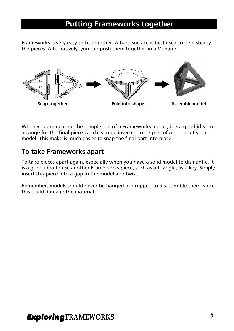### **Putting Frameworks together**

Frameworks is very easy to fit together. A hard surface is best used to help steady the pieces. Alternatively, you can push them together in a V shape.



When you are nearing the completion of a Frameworks model, it is a good idea to arrange for the final piece which is to be inserted to be part of a corner of your model. This make is much easier to snap the final part into place.

### **To take Frameworks apart**

To take pieces apart again, especially when you have a solid model to dismantle, it is a good idea to use another Frameworks piece, such as a triangle, as a key. Simply insert this piece into a gap in the model and twist.

Remember, models should never be banged or dropped to disassemble them, since this could damage the material.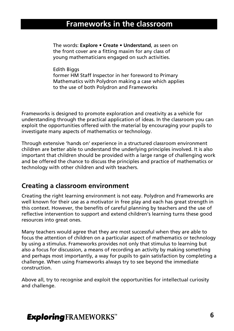### **Frameworks in the classroom**

The words: **Explore • Create • Understand**, as seen on the front cover are a fitting maxim for any class of young mathematicians engaged on such activities.

Edith Biggs former HM Staff Inspector in her foreword to Primary Mathematics with Polydron making a case which applies to the use of both Polydron and Frameworks

Frameworks is designed to promote exploration and creativity as a vehicle for understanding through the practical application of ideas. In the classroom you can exploit the opportunities offered with the material by encouraging your pupils to investigate many aspects of mathematics or technology.

Through extensive 'hands on' experience in a structured classroom environment children are better able to understand the underlying principles involved. It is also important that children should be provided with a large range of challenging work and be offered the chance to discuss the principles and practice of mathematics or technology with other children and with teachers.

### **Creating a classroom environment**

Creating the right learning environment is not easy. Polydron and Frameworks are well known for their use as a motivator in free play and each has great strength in this context. However, the benefits of careful planning by teachers and the use of reflective intervention to support and extend children's learning turns these good resources into great ones.

Many teachers would agree that they are most successful when they are able to focus the attention of children on a particular aspect of mathematics or technology by using a stimulus. Frameworks provides not only that stimulus to learning but also a focus for discussion, a means of recording an activity by making something and perhaps most importantly, a way for pupils to gain satisfaction by completing a challenge. When using Frameworks always try to see beyond the immediate construction.

Above all, try to recognise and exploit the opportunities for intellectual curiosity and challenge.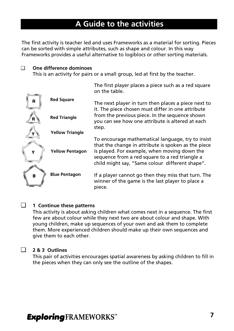### **A Guide to the activities**

The first activity is teacher led and uses Frameworks as a material for sorting. Pieces can be sorted with simple attributes, such as shape and colour. In this way Frameworks provides a useful alternative to logiblocs or other sorting materials.

#### ❑ **One difference dominoes**

This is an activity for pairs or a small group, led at first by the teacher.

|                |                        | The first player places a piece such as a red square<br>on the table.                                                                                                                                                                                         |
|----------------|------------------------|---------------------------------------------------------------------------------------------------------------------------------------------------------------------------------------------------------------------------------------------------------------|
| R              | <b>Red Square</b>      | The next player in turn then places a piece next to<br>it. The piece chosen must differ in one attribute                                                                                                                                                      |
|                | <b>Red Triangle</b>    | from the previous piece. In the sequence shown<br>you can see how one attribute is altered at each<br>step.                                                                                                                                                   |
|                | <b>Yellow Triangle</b> |                                                                                                                                                                                                                                                               |
| Y              | <b>Yellow Pentagon</b> | To encourage mathematical language, try to insist<br>that the change in attribute is spoken as the piece<br>is played. For example, when moving down the<br>sequence from a red square to a red triangle a<br>child might say, "Same colour different shape". |
| $\overline{B}$ | <b>Blue Pentagon</b>   | If a player cannot go then they miss that turn. The<br>winner of the game is the last player to place a<br>piece.                                                                                                                                             |

#### ❑ **1 Continue these patterns**

This activity is about asking children what comes next in a sequence. The first few are about colour while they next two are about colour and shape. With young children, make up sequences of your own and ask them to complete them. More experienced children should make up their own sequences and give them to each other.

#### ❑ **2 & 3 Outlines**

This pair of activities encourages spatial awareness by asking children to fill in the pieces when they can only see the outline of the shapes.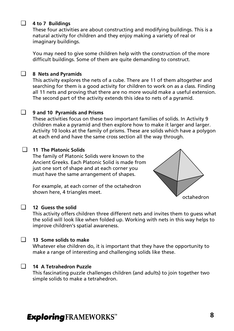#### ❑ **4 to 7 Buildings**

These four activities are about constructing and modifying buildings. This is a natural activity for children and they enjoy making a variety of real or imaginary buildings.

You may need to give some children help with the construction of the more difficult buildings. Some of them are quite demanding to construct.

#### ❑ **8 Nets and Pyramids**

This activity explores the nets of a cube. There are 11 of them altogether and searching for them is a good activity for children to work on as a class. Finding all 11 nets and proving that there are no more would make a useful extension. The second part of the activity extends this idea to nets of a pyramid.

#### ❑ **9 and 10 Pyramids and Prisms**

These activities focus on these two important families of solids. In Activity 9 children make a pyramid and then explore how to make it larger and larger. Activity 10 looks at the family of prisms. These are solids which have a polygon at each end and have the same cross section all the way through.



#### ❑ **11 The Platonic Solids**

The family of Platonic Solids were known to the Ancient Greeks. Each Platonic Solid is made from just one sort of shape and at each corner you must have the same arrangement of shapes.

For example, at each corner of the octahedron shown here, 4 triangles meet.



#### ❑ **12 Guess the solid**

This activity offers children three different nets and invites them to guess what the solid will look like when folded up. Working with nets in this way helps to improve children's spatial awareness.

#### ❑ **13 Some solids to make**

Whatever else children do, it is important that they have the opportunity to make a range of interesting and challenging solids like these.

#### ❑ **14 A Tetrahedron Puzzle**

This fascinating puzzle challenges children (and adults) to join together two simple solids to make a tetrahedron.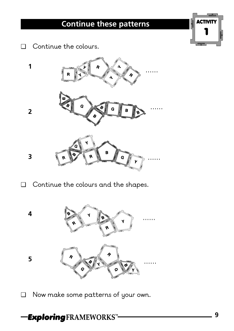# **Continue these patterns**



❑ Continue the colours.



❑ Continue the colours and the shapes.



❑ Now make some patterns of your own.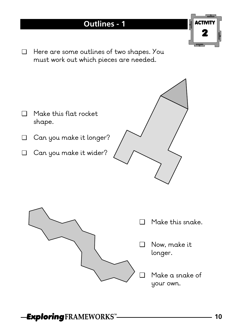### **Outlines - 1**

❑ Here are some outlines of two shapes. You must work out which pieces are needed.





- ❑ Make this snake.
- ❑ Now, make it longer.
- ❑ Make a snake of your own.

*Exploring* FRAMEWORKS™

ACTIVITY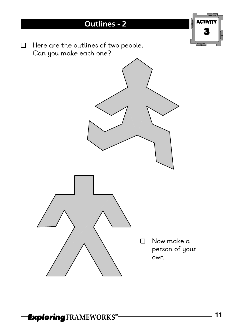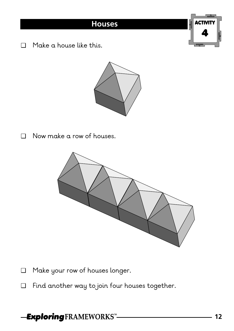❑ Make a house like this.



❑ Now make a row of houses.



- ❑ Make your row of houses longer.
- ❑ Find another way to join four houses together.

## **Exploring FRAMEWORKS"-**

ACTIVITY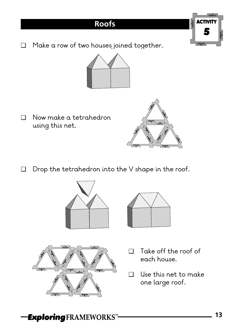❑ Make a row of two houses joined together.



❑ Now make a tetrahedron using this net.



ACT

5

❑ Drop the tetrahedron into the V shape in the roof.







- ❑ Take off the roof of each house.
- ❑ Use this net to make one large roof.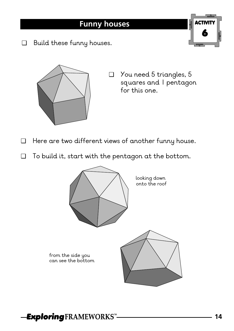❑ Build these funny houses.



❑ You need 5 triangles, 5 squares and 1 pentagon for this one.

ACTIVITY

- ❑ Here are two different views of another funny house.
- ❑ To build it, start with the pentagon at the bottom.

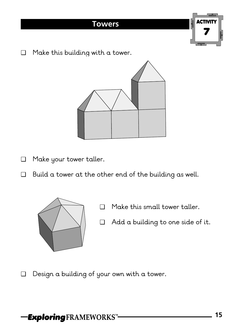# **Towers** ACTIVITY 7

❑ Make this building with a tower.



- ❑ Make your tower taller.
- ❑ Build a tower at the other end of the building as well.



- ❑ Make this small tower taller.
- ❑ Add a building to one side of it.

❑ Design a building of your own with a tower.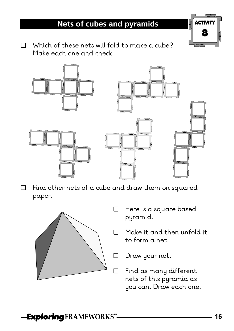## **Nets of cubes and pyramids**



❑ Which of these nets will fold to make a cube? Make each one and check.



❑ Find other nets of a cube and draw them on squared paper.



- ❑ Here is a square based pyramid.
- ❑ Make it and then unfold it to form a net.
- ❑ Draw your net.
- ❑ Find as many different nets of this pyramid as you can. Draw each one.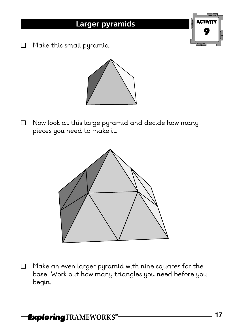❑ Make this small pyramid.



❑ Now look at this large pyramid and decide how many pieces you need to make it.



❑ Make an even larger pyramid with nine squares for the base. Work out how many triangles you need before you begin.

ACTIVITY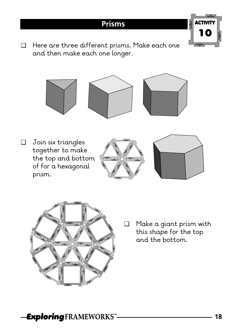### **Prisms**

ACTIVITY 10

❑ Here are three different prisms. Make each one and then make each one longer.



❑ Join six triangles together to make the top and bottom of for a hexagonal prism.







❑ Make a giant prism with this shape for the top and the bottom.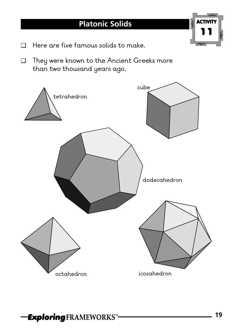- ❑ Here are five famous solids to make.
- ❑ They were known to the Ancient Greeks more than two thousand years ago.



ACTIVITY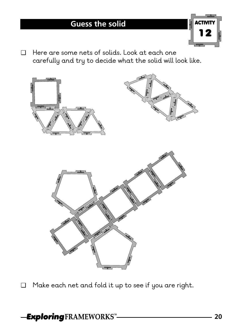

❑ Here are some nets of solids. Look at each one carefully and try to decide what the solid will look like.



❑ Make each net and fold it up to see if you are right.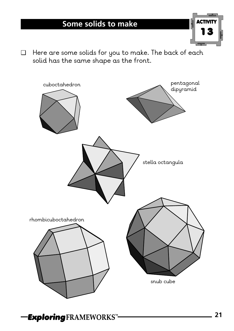# **Some solids to make**



❑ Here are some solids for you to make. The back of each solid has the same shape as the front.